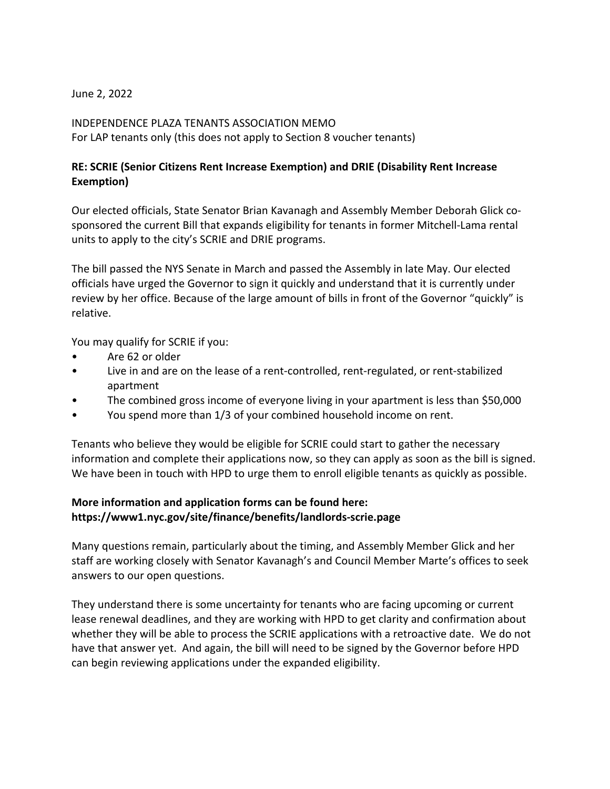## June 2, 2022

INDEPENDENCE PLAZA TENANTS ASSOCIATION MEMO For LAP tenants only (this does not apply to Section 8 voucher tenants)

## **RE: SCRIE (Senior Citizens Rent Increase Exemption) and DRIE (Disability Rent Increase Exemption)**

Our elected officials, State Senator Brian Kavanagh and Assembly Member Deborah Glick cosponsored the current Bill that expands eligibility for tenants in former Mitchell-Lama rental units to apply to the city's SCRIE and DRIE programs.

The bill passed the NYS Senate in March and passed the Assembly in late May. Our elected officials have urged the Governor to sign it quickly and understand that it is currently under review by her office. Because of the large amount of bills in front of the Governor "quickly" is relative.

You may qualify for SCRIE if you:

- Are 62 or older
- Live in and are on the lease of a rent-controlled, rent-regulated, or rent-stabilized apartment
- The combined gross income of everyone living in your apartment is less than \$50,000
- You spend more than 1/3 of your combined household income on rent.

Tenants who believe they would be eligible for SCRIE could start to gather the necessary information and complete their applications now, so they can apply as soon as the bill is signed. We have been in touch with HPD to urge them to enroll eligible tenants as quickly as possible.

## **More information and application forms can be found here: https://www1.nyc.gov/site/finance/benefits/landlords-scrie.page**

Many questions remain, particularly about the timing, and Assembly Member Glick and her staff are working closely with Senator Kavanagh's and Council Member Marte's offices to seek answers to our open questions.

They understand there is some uncertainty for tenants who are facing upcoming or current lease renewal deadlines, and they are working with HPD to get clarity and confirmation about whether they will be able to process the SCRIE applications with a retroactive date. We do not have that answer yet. And again, the bill will need to be signed by the Governor before HPD can begin reviewing applications under the expanded eligibility.